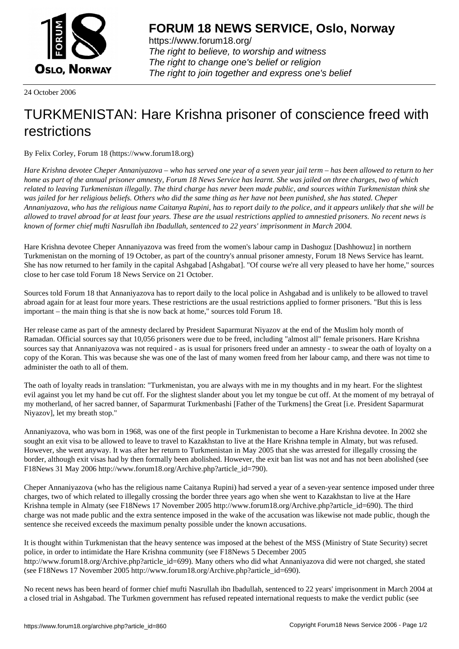

https://www.forum18.org/ The right to believe, to worship and witness The right to change one's belief or religion [The right to join together a](https://www.forum18.org/)nd express one's belief

24 October 2006

## [TURKMENISTA](https://www.forum18.org)N: Hare Krishna prisoner of conscience freed with restrictions

By Felix Corley, Forum 18 (https://www.forum18.org)

*Hare Krishna devotee Cheper Annaniyazova – who has served one year of a seven year jail term – has been allowed to return to her home as part of the annual prisoner amnesty, Forum 18 News Service has learnt. She was jailed on three charges, two of which related to leaving Turkmenistan illegally. The third charge has never been made public, and sources within Turkmenistan think she was jailed for her religious beliefs. Others who did the same thing as her have not been punished, she has stated. Cheper Annaniyazova, who has the religious name Caitanya Rupini, has to report daily to the police, and it appears unlikely that she will be allowed to travel abroad for at least four years. These are the usual restrictions applied to amnestied prisoners. No recent news is known of former chief mufti Nasrullah ibn Ibadullah, sentenced to 22 years' imprisonment in March 2004.*

Hare Krishna devotee Cheper Annaniyazova was freed from the women's labour camp in Dashoguz [Dashhowuz] in northern Turkmenistan on the morning of 19 October, as part of the country's annual prisoner amnesty, Forum 18 News Service has learnt. She has now returned to her family in the capital Ashgabad [Ashgabat]. "Of course we're all very pleased to have her home," sources close to her case told Forum 18 News Service on 21 October.

Sources told Forum 18 that Annaniyazova has to report daily to the local police in Ashgabad and is unlikely to be allowed to travel abroad again for at least four more years. These restrictions are the usual restrictions applied to former prisoners. "But this is less important – the main thing is that she is now back at home," sources told Forum 18.

Her release came as part of the amnesty declared by President Saparmurat Niyazov at the end of the Muslim holy month of Ramadan. Official sources say that 10,056 prisoners were due to be freed, including "almost all" female prisoners. Hare Krishna sources say that Annaniyazova was not required - as is usual for prisoners freed under an amnesty - to swear the oath of loyalty on a copy of the Koran. This was because she was one of the last of many women freed from her labour camp, and there was not time to administer the oath to all of them.

The oath of loyalty reads in translation: "Turkmenistan, you are always with me in my thoughts and in my heart. For the slightest evil against you let my hand be cut off. For the slightest slander about you let my tongue be cut off. At the moment of my betrayal of my motherland, of her sacred banner, of Saparmurat Turkmenbashi [Father of the Turkmens] the Great [i.e. President Saparmurat Niyazov], let my breath stop."

Annaniyazova, who was born in 1968, was one of the first people in Turkmenistan to become a Hare Krishna devotee. In 2002 she sought an exit visa to be allowed to leave to travel to Kazakhstan to live at the Hare Krishna temple in Almaty, but was refused. However, she went anyway. It was after her return to Turkmenistan in May 2005 that she was arrested for illegally crossing the border, although exit visas had by then formally been abolished. However, the exit ban list was not and has not been abolished (see F18News 31 May 2006 http://www.forum18.org/Archive.php?article\_id=790).

Cheper Annaniyazova (who has the religious name Caitanya Rupini) had served a year of a seven-year sentence imposed under three charges, two of which related to illegally crossing the border three years ago when she went to Kazakhstan to live at the Hare Krishna temple in Almaty (see F18News 17 November 2005 http://www.forum18.org/Archive.php?article\_id=690). The third charge was not made public and the extra sentence imposed in the wake of the accusation was likewise not made public, though the sentence she received exceeds the maximum penalty possible under the known accusations.

It is thought within Turkmenistan that the heavy sentence was imposed at the behest of the MSS (Ministry of State Security) secret police, in order to intimidate the Hare Krishna community (see F18News 5 December 2005 http://www.forum18.org/Archive.php?article\_id=699). Many others who did what Annaniyazova did were not charged, she stated (see F18News 17 November 2005 http://www.forum18.org/Archive.php?article\_id=690).

No recent news has been heard of former chief mufti Nasrullah ibn Ibadullah, sentenced to 22 years' imprisonment in March 2004 at a closed trial in Ashgabad. The Turkmen government has refused repeated international requests to make the verdict public (see